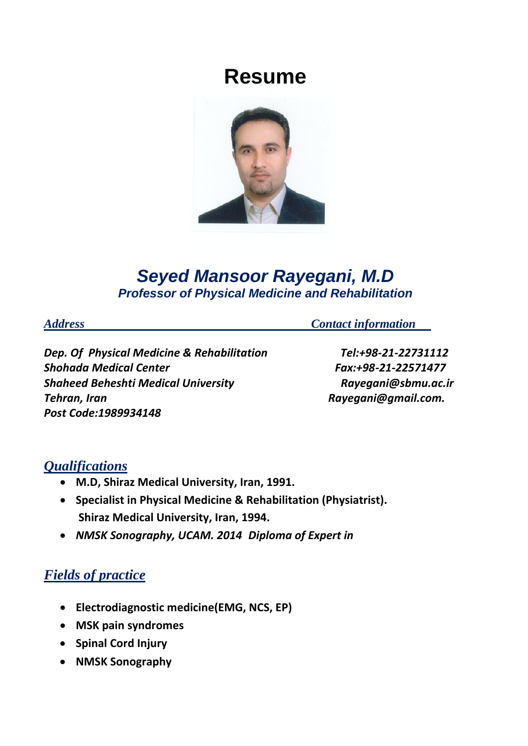# **Resume**



## *Seyed Mansoor Rayegani, M.D Professor of Physical Medicine and Rehabilitation*

*Address Contact information* 

*Dep. Of Physical Medicine & Rehabilitation Tel:+98-21-22731112 Shohada Medical Center Fax:+98-21-22571477 Shaheed Beheshti Medical University Rayegani@sbmu.ac.ir Tehran, Iran Rayegani@gmail.com. Post Code:1989934148*

#### $Qualifications$

- **M.D, Shiraz Medical University, Iran, 1991.**
- **Specialist in Physical Medicine & Rehabilitation (Physiatrist). Shiraz Medical University, Iran, 1994.**
- *NMSK Sonography, UCAM. 2014 Diploma of Expert in*

## *Fields of practice*

- **Electrodiagnostic medicine(EMG, NCS, EP)**
- **MSK pain syndromes**
- **Spinal Cord Injury**
- **NMSK Sonography**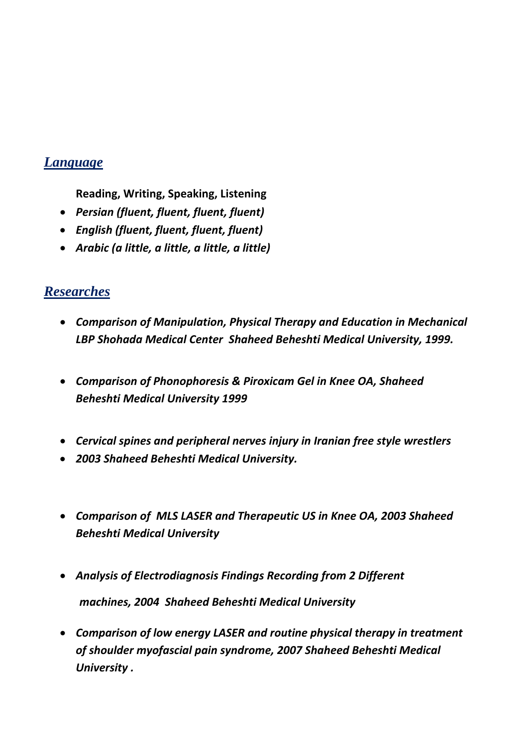#### $L$ *anguage*

**Reading, Writing, Speaking, Listening**

- *Persian (fluent, fluent, fluent, fluent)*
- *English (fluent, fluent, fluent, fluent)*
- *Arabic (a little, a little, a little, a little)*

### $$

- *Comparison of Manipulation, Physical Therapy and Education in Mechanical LBP Shohada Medical Center Shaheed Beheshti Medical University, 1999.*
- *Comparison of Phonophoresis & Piroxicam Gel in Knee OA, Shaheed Beheshti Medical University 1999*
- *Cervical spines and peripheral nerves injury in Iranian free style wrestlers*
- *2003 Shaheed Beheshti Medical University.*
- *Comparison of MLS LASER and Therapeutic US in Knee OA, 2003 Shaheed Beheshti Medical University*
- *Analysis of Electrodiagnosis Findings Recording from 2 Different machines, 2004 Shaheed Beheshti Medical University*
- *Comparison of low energy LASER and routine physical therapy in treatment of shoulder myofascial pain syndrome, 2007 Shaheed Beheshti Medical University .*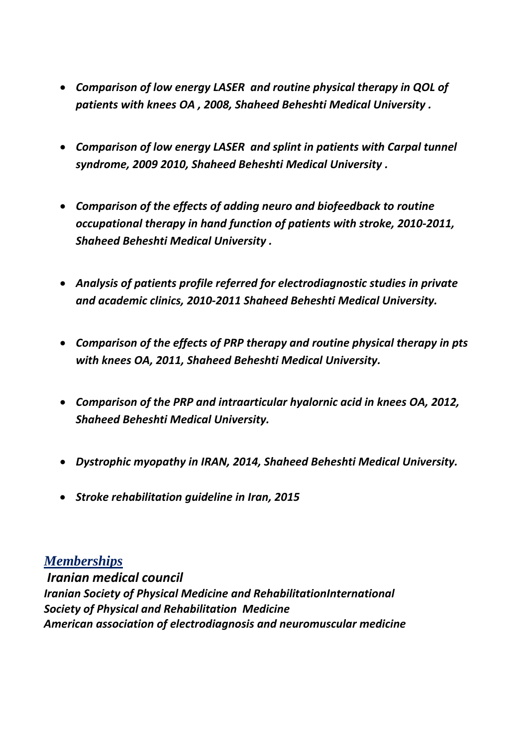- *Comparison of low energy LASER and routine physical therapy in QOL of patients with knees OA , 2008, Shaheed Beheshti Medical University .*
- *Comparison of low energy LASER and splint in patients with Carpal tunnel syndrome, 2009 2010, Shaheed Beheshti Medical University .*
- *Comparison of the effects of adding neuro and biofeedback to routine occupational therapy in hand function of patients with stroke, 2010-2011, Shaheed Beheshti Medical University .*
- *Analysis of patients profile referred for electrodiagnostic studies in private and academic clinics, 2010-2011 Shaheed Beheshti Medical University.*
- *Comparison of the effects of PRP therapy and routine physical therapy in pts with knees OA, 2011, Shaheed Beheshti Medical University.*
- *Comparison of the PRP and intraarticular hyalornic acid in knees OA, 2012, Shaheed Beheshti Medical University.*
- *Dystrophic myopathy in IRAN, 2014, Shaheed Beheshti Medical University.*
- *Stroke rehabilitation guideline in Iran, 2015*

#### *<sup>U</sup>Memberships*

 *Iranian medical council Iranian Society of Physical Medicine and RehabilitationInternational Society of Physical and Rehabilitation Medicine American association of electrodiagnosis and neuromuscular medicine*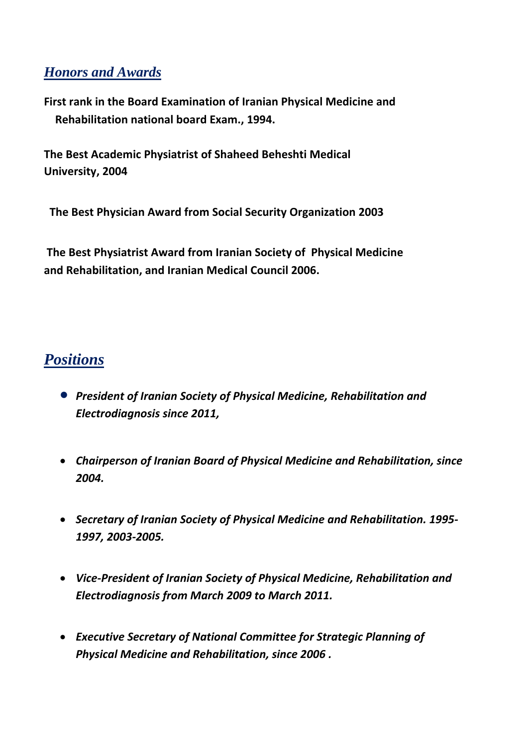#### $H$ onors and Awards

**First rank in the Board Examination of Iranian Physical Medicine and Rehabilitation national board Exam., 1994.**

**The Best Academic Physiatrist of Shaheed Beheshti Medical University, 2004**

 **The Best Physician Award from Social Security Organization 2003**

**The Best Physiatrist Award from Iranian Society of Physical Medicine and Rehabilitation, and Iranian Medical Council 2006.**

## $$

- *President of Iranian Society of Physical Medicine, Rehabilitation and Electrodiagnosis since 2011,*
- *Chairperson of Iranian Board of Physical Medicine and Rehabilitation, since 2004.*
- *Secretary of Iranian Society of Physical Medicine and Rehabilitation. 1995- 1997, 2003-2005.*
- *Vice-President of Iranian Society of Physical Medicine, Rehabilitation and Electrodiagnosis from March 2009 to March 2011.*
- *Executive Secretary of National Committee for Strategic Planning of Physical Medicine and Rehabilitation, since 2006 .*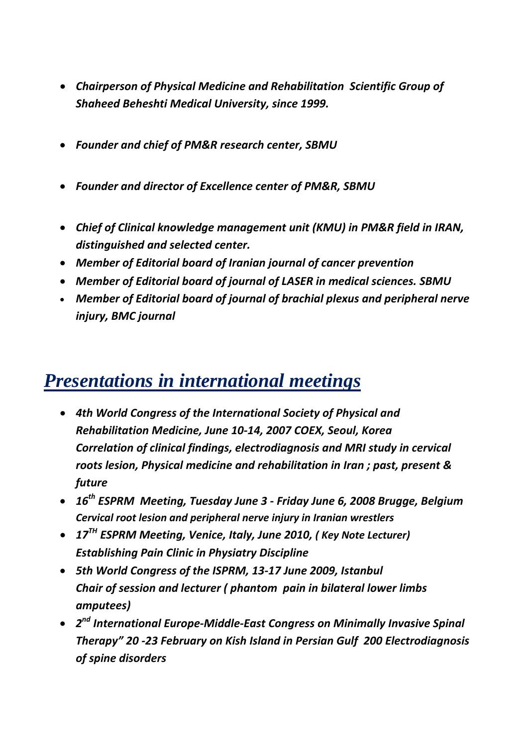- *Chairperson of Physical Medicine and Rehabilitation Scientific Group of Shaheed Beheshti Medical University, since 1999.*
- *Founder and chief of PM&R research center, SBMU*
- *Founder and director of Excellence center of PM&R, SBMU*
- *Chief of Clinical knowledge management unit (KMU) in PM&R field in IRAN, distinguished and selected center.*
- *Member of Editorial board of Iranian journal of cancer prevention*
- *Member of Editorial board of journal of LASER in medical sciences. SBMU*
- *Member of Editorial board of journal of brachial plexus and peripheral nerve injury, BMC journal*

# *Presentations in international meetings*

- *4th World Congress of the International Society of Physical and Rehabilitation Medicine, June 10-14, 2007 COEX, Seoul, Korea Correlation of clinical findings, electrodiagnosis and MRI study in cervical roots lesion, Physical medicine and rehabilitation in Iran ; past, present & future*
- *16th ESPRM Meeting, Tuesday June 3 - Friday June 6, 2008 Brugge, Belgium Cervical root lesion and peripheral nerve injury in Iranian wrestlers*
- *17TH ESPRM Meeting, Venice, Italy, June 2010, ( Key Note Lecturer) Establishing Pain Clinic in Physiatry Discipline*
- *5th World Congress of the ISPRM, 13-17 June 2009, Istanbul Chair of session and lecturer ( phantom pain in bilateral lower limbs amputees)*
- *2nd International Europe-Middle-East Congress on Minimally Invasive Spinal Therapy" 20 -23 February on Kish Island in Persian Gulf 200 Electrodiagnosis of spine disorders*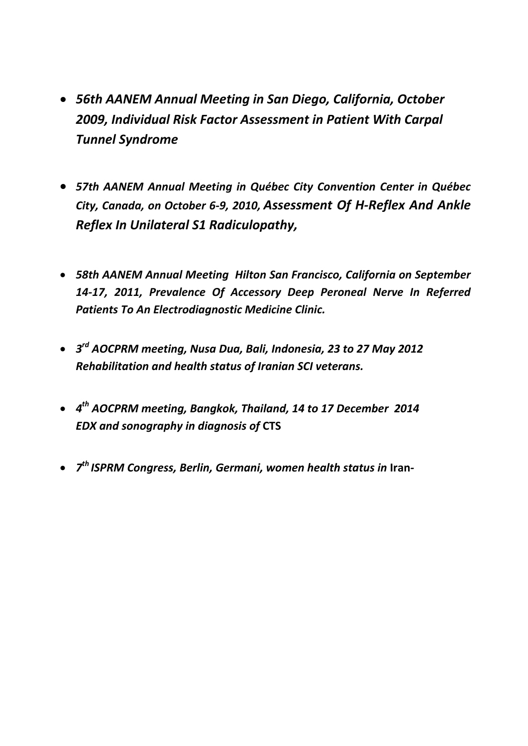- *56th AANEM Annual Meeting in San Diego, California, October 2009, Individual Risk Factor Assessment in Patient With Carpal Tunnel Syndrome*
- *57th AANEM Annual Meeting in Québec City Convention Center in Québec City, Canada, on October 6-9, 2010, Assessment Of H-Reflex And Ankle Reflex In Unilateral S1 Radiculopathy,*
- *58th AANEM Annual Meeting Hilton San Francisco, California on September 14-17, 2011, Prevalence Of Accessory Deep Peroneal Nerve In Referred Patients To An Electrodiagnostic Medicine Clinic.*
- *3rd AOCPRM meeting, Nusa Dua, Bali, Indonesia, 23 to 27 May 2012 Rehabilitation and health status of Iranian SCI veterans.*
- *4th AOCPRM meeting, Bangkok, Thailand, 14 to 17 December 2014 EDX and sonography in diagnosis of* **CTS**
- 7<sup>th</sup> ISPRM Congress, Berlin, Germani, women health status in Iran-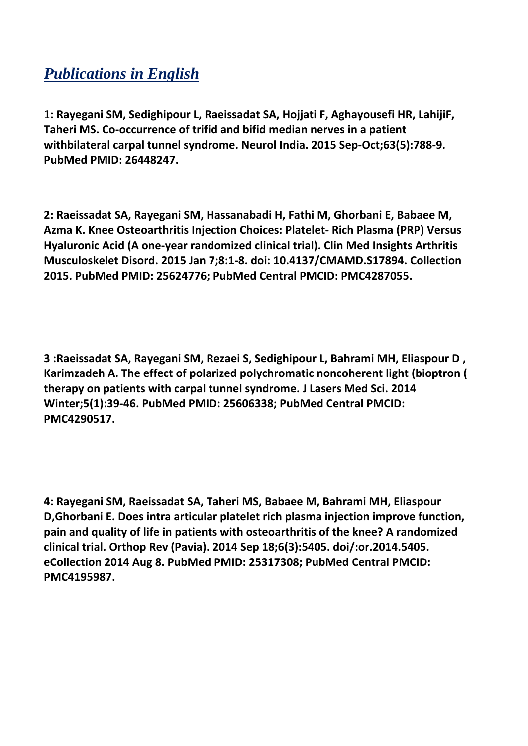## *Publications in English*

1**: Rayegani SM, Sedighipour L, Raeissadat SA, Hojjati F, Aghayousefi HR, LahijiF, Taheri MS. Co-occurrence of trifid and bifid median nerves in a patient withbilateral carpal tunnel syndrome. Neurol India. 2015 Sep-Oct;63(5):788-9. PubMed PMID: 26448247.**

**2: Raeissadat SA, Rayegani SM, Hassanabadi H, Fathi M, Ghorbani E, Babaee M, Azma K. Knee Osteoarthritis Injection Choices: Platelet- Rich Plasma (PRP) Versus Hyaluronic Acid (A one-year randomized clinical trial). Clin Med Insights Arthritis Musculoskelet Disord. 2015 Jan 7;8:1-8. doi: 10.4137/CMAMD.S17894. Collection 2015. PubMed PMID: 25624776; PubMed Central PMCID: PMC4287055.**

**3 :Raeissadat SA, Rayegani SM, Rezaei S, Sedighipour L, Bahrami MH, Eliaspour D , Karimzadeh A. The effect of polarized polychromatic noncoherent light (bioptron ( therapy on patients with carpal tunnel syndrome. J Lasers Med Sci. 2014 Winter;5(1):39-46. PubMed PMID: 25606338; PubMed Central PMCID: PMC4290517.**

**4: Rayegani SM, Raeissadat SA, Taheri MS, Babaee M, Bahrami MH, Eliaspour D,Ghorbani E. Does intra articular platelet rich plasma injection improve function, pain and quality of life in patients with osteoarthritis of the knee? A randomized clinical trial. Orthop Rev (Pavia). 2014 Sep 18;6(3):5405. doi/:or.2014.5405. eCollection 2014 Aug 8. PubMed PMID: 25317308; PubMed Central PMCID: PMC4195987.**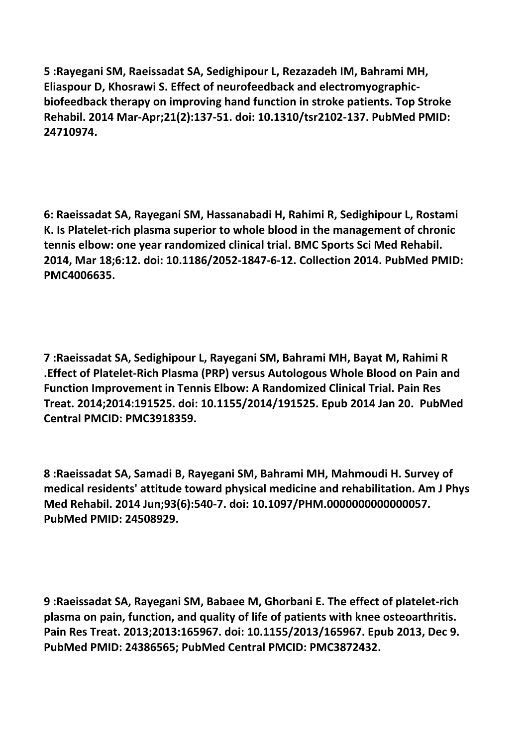**5 :Rayegani SM, Raeissadat SA, Sedighipour L, Rezazadeh IM, Bahrami MH, Eliaspour D, Khosrawi S. Effect of neurofeedback and electromyographicbiofeedback therapy on improving hand function in stroke patients. Top Stroke Rehabil. 2014 Mar-Apr;21(2):137-51. doi: 10.1310/tsr2102-137. PubMed PMID: 24710974.**

**6: Raeissadat SA, Rayegani SM, Hassanabadi H, Rahimi R, Sedighipour L, Rostami K. Is Platelet-rich plasma superior to whole blood in the management of chronic tennis elbow: one year randomized clinical trial. BMC Sports Sci Med Rehabil. 2014, Mar 18;6:12. doi: 10.1186/2052-1847-6-12. Collection 2014. PubMed PMID: PMC4006635.**

**7 :Raeissadat SA, Sedighipour L, Rayegani SM, Bahrami MH, Bayat M, Rahimi R .Effect of Platelet-Rich Plasma (PRP) versus Autologous Whole Blood on Pain and Function Improvement in Tennis Elbow: A Randomized Clinical Trial. Pain Res Treat. 2014;2014:191525. doi: 10.1155/2014/191525. Epub 2014 Jan 20. PubMed Central PMCID: PMC3918359.**

**8 :Raeissadat SA, Samadi B, Rayegani SM, Bahrami MH, Mahmoudi H. Survey of medical residents' attitude toward physical medicine and rehabilitation. Am J Phys Med Rehabil. 2014 Jun;93(6):540-7. doi: 10.1097/PHM.0000000000000057. PubMed PMID: 24508929.**

**9 :Raeissadat SA, Rayegani SM, Babaee M, Ghorbani E. The effect of platelet-rich plasma on pain, function, and quality of life of patients with knee osteoarthritis. Pain Res Treat. 2013;2013:165967. doi: 10.1155/2013/165967. Epub 2013, Dec 9. PubMed PMID: 24386565; PubMed Central PMCID: PMC3872432.**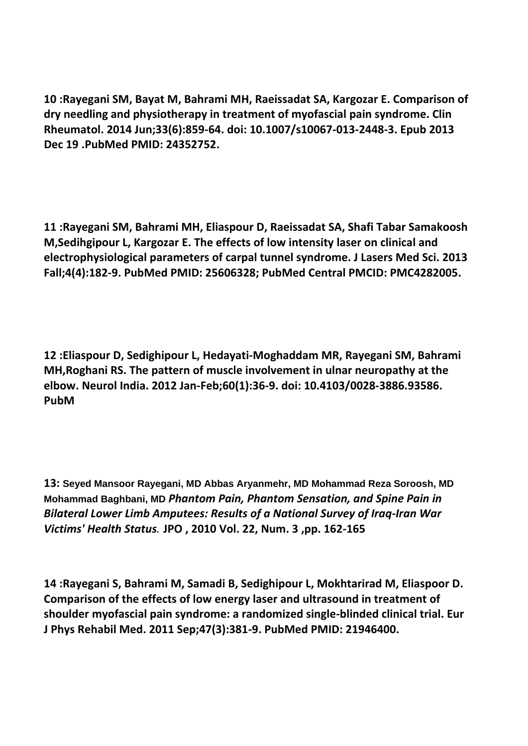**10 :Rayegani SM, Bayat M, Bahrami MH, Raeissadat SA, Kargozar E. Comparison of dry needling and physiotherapy in treatment of myofascial pain syndrome. Clin Rheumatol. 2014 Jun;33(6):859-64. doi: 10.1007/s10067-013-2448-3. Epub 2013 Dec 19 .PubMed PMID: 24352752.**

**11 :Rayegani SM, Bahrami MH, Eliaspour D, Raeissadat SA, Shafi Tabar Samakoosh M,Sedihgipour L, Kargozar E. The effects of low intensity laser on clinical and electrophysiological parameters of carpal tunnel syndrome. J Lasers Med Sci. 2013 Fall;4(4):182-9. PubMed PMID: 25606328; PubMed Central PMCID: PMC4282005.**

**12 :Eliaspour D, Sedighipour L, Hedayati-Moghaddam MR, Rayegani SM, Bahrami MH,Roghani RS. The pattern of muscle involvement in ulnar neuropathy at the elbow. Neurol India. 2012 Jan-Feb;60(1):36-9. doi: 10.4103/0028-3886.93586. PubM**

**13: Seyed Mansoor Rayegani, MD Abbas Aryanmehr, MD Mohammad Reza Soroosh, MD Mohammad Baghbani, MD** *Phantom Pain, Phantom Sensation, and Spine Pain in Bilateral Lower Limb Amputees: Results of a National Survey of Iraq-Iran War Victims' Health Status.* **[JPO](http://www.oandp.org/jpo/) , 2010 Vol. 22, [Num.](http://www.oandp.org/jpo/library/index/2010_03.asp) 3 ,pp. 162-165**

**14 :Rayegani S, Bahrami M, Samadi B, Sedighipour L, Mokhtarirad M, Eliaspoor D. Comparison of the effects of low energy laser and ultrasound in treatment of shoulder myofascial pain syndrome: a randomized single-blinded clinical trial. Eur J Phys Rehabil Med. 2011 Sep;47(3):381-9. PubMed PMID: 21946400.**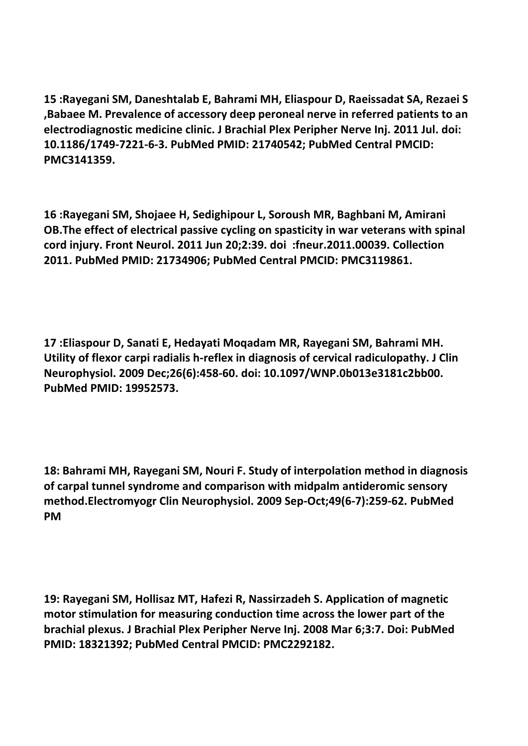**15 :Rayegani SM, Daneshtalab E, Bahrami MH, Eliaspour D, Raeissadat SA, Rezaei S ,Babaee M. Prevalence of accessory deep peroneal nerve in referred patients to an electrodiagnostic medicine clinic. J Brachial Plex Peripher Nerve Inj. 2011 Jul. doi: 10.1186/1749-7221-6-3. PubMed PMID: 21740542; PubMed Central PMCID: PMC3141359.**

**16 :Rayegani SM, Shojaee H, Sedighipour L, Soroush MR, Baghbani M, Amirani OB.The effect of electrical passive cycling on spasticity in war veterans with spinal cord injury. Front Neurol. 2011 Jun 20;2:39. doi :fneur.2011.00039. Collection 2011. PubMed PMID: 21734906; PubMed Central PMCID: PMC3119861.**

**17 :Eliaspour D, Sanati E, Hedayati Moqadam MR, Rayegani SM, Bahrami MH. Utility of flexor carpi radialis h-reflex in diagnosis of cervical radiculopathy. J Clin Neurophysiol. 2009 Dec;26(6):458-60. doi: 10.1097/WNP.0b013e3181c2bb00. PubMed PMID: 19952573.**

**18: Bahrami MH, Rayegani SM, Nouri F. Study of interpolation method in diagnosis of carpal tunnel syndrome and comparison with midpalm antideromic sensory method.Electromyogr Clin Neurophysiol. 2009 Sep-Oct;49(6-7):259-62. PubMed PM**

**19: Rayegani SM, Hollisaz MT, Hafezi R, Nassirzadeh S. Application of magnetic motor stimulation for measuring conduction time across the lower part of the brachial plexus. J Brachial Plex Peripher Nerve Inj. 2008 Mar 6;3:7. Doi: PubMed PMID: 18321392; PubMed Central PMCID: PMC2292182.**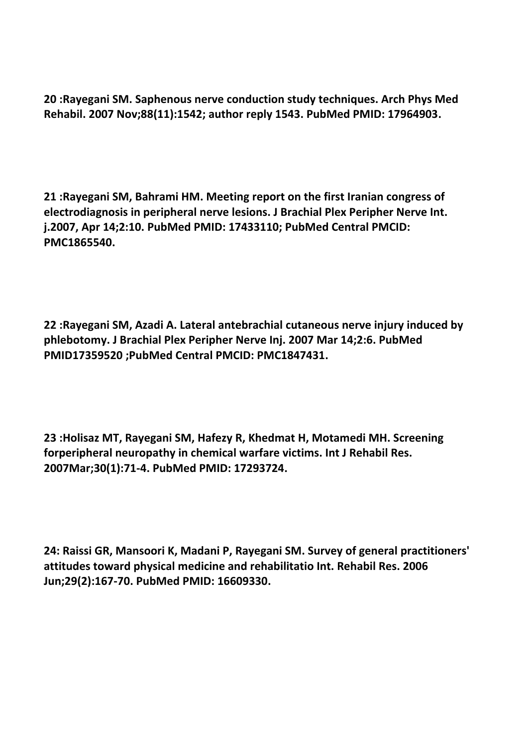**20 :Rayegani SM. Saphenous nerve conduction study techniques. Arch Phys Med Rehabil. 2007 Nov;88(11):1542; author reply 1543. PubMed PMID: 17964903.**

**21 :Rayegani SM, Bahrami HM. Meeting report on the first Iranian congress of electrodiagnosis in peripheral nerve lesions. J Brachial Plex Peripher Nerve Int. j.2007, Apr 14;2:10. PubMed PMID: 17433110; PubMed Central PMCID: PMC1865540.**

**22 :Rayegani SM, Azadi A. Lateral antebrachial cutaneous nerve injury induced by phlebotomy. J Brachial Plex Peripher Nerve Inj. 2007 Mar 14;2:6. PubMed PMID17359520 ;PubMed Central PMCID: PMC1847431.**

**23 :Holisaz MT, Rayegani SM, Hafezy R, Khedmat H, Motamedi MH. Screening forperipheral neuropathy in chemical warfare victims. Int J Rehabil Res. 2007Mar;30(1):71-4. PubMed PMID: 17293724.**

**24: Raissi GR, Mansoori K, Madani P, Rayegani SM. Survey of general practitioners' attitudes toward physical medicine and rehabilitatio Int. Rehabil Res. 2006 Jun;29(2):167-70. PubMed PMID: 16609330.**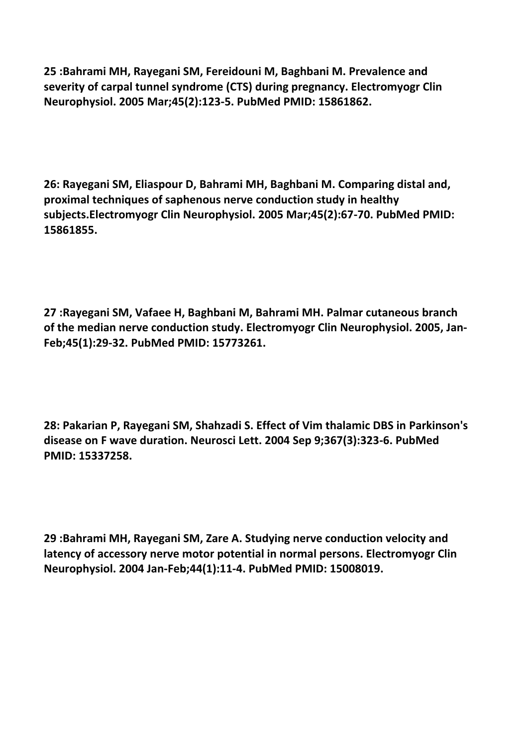**25 :Bahrami MH, Rayegani SM, Fereidouni M, Baghbani M. Prevalence and severity of carpal tunnel syndrome (CTS) during pregnancy. Electromyogr Clin Neurophysiol. 2005 Mar;45(2):123-5. PubMed PMID: 15861862.**

**26: Rayegani SM, Eliaspour D, Bahrami MH, Baghbani M. Comparing distal and, proximal techniques of saphenous nerve conduction study in healthy subjects.Electromyogr Clin Neurophysiol. 2005 Mar;45(2):67-70. PubMed PMID: 15861855.**

**27 :Rayegani SM, Vafaee H, Baghbani M, Bahrami MH. Palmar cutaneous branch of the median nerve conduction study. Electromyogr Clin Neurophysiol. 2005, Jan-Feb;45(1):29-32. PubMed PMID: 15773261.**

**28: Pakarian P, Rayegani SM, Shahzadi S. Effect of Vim thalamic DBS in Parkinson's disease on F wave duration. Neurosci Lett. 2004 Sep 9;367(3):323-6. PubMed PMID: 15337258.**

**29 :Bahrami MH, Rayegani SM, Zare A. Studying nerve conduction velocity and latency of accessory nerve motor potential in normal persons. Electromyogr Clin Neurophysiol. 2004 Jan-Feb;44(1):11-4. PubMed PMID: 15008019.**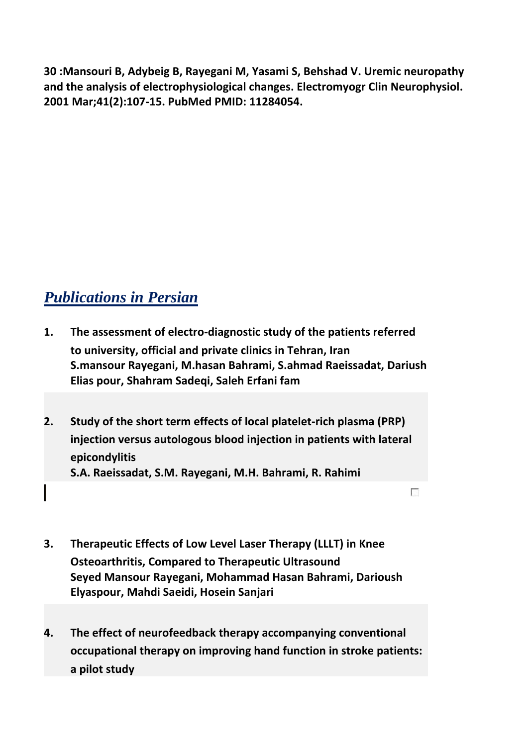**30 :Mansouri B, Adybeig B, Rayegani M, Yasami S, Behshad V. Uremic neuropathy and the analysis of electrophysiological changes. Electromyogr Clin Neurophysiol. 2001 Mar;41(2):107-15. PubMed PMID: 11284054.**

## *Publications* in Persian

- **1. The assessment of electro-diagnostic study of the patients referred to university, official and private clinics in Tehran, Iran S.mansour Rayegani, M.hasan Bahrami, S.ahmad Raeissadat, Dariush Elias pour, Shahram Sadeqi, Saleh Erfani fam**
- **2. Study of the short term effects of local platelet-rich plasma (PRP) injection versus autologous blood injection in patients with lateral epicondylitis S.A. Raeissadat, S.M. Rayegani, M.H. Bahrami, R. Rahimi**

 $\overline{\mathcal{C}}$ 

- **3. Therapeutic Effects of Low Level Laser Therapy (LLLT) in Knee Osteoarthritis, Compared to Therapeutic Ultrasound Seyed Mansour Rayegani, Mohammad Hasan Bahrami, Darioush Elyaspour, Mahdi Saeidi, Hosein Sanjari**
- **4. The effect of neurofeedback therapy accompanying conventional occupational therapy on improving hand function in stroke patients: a pilot study**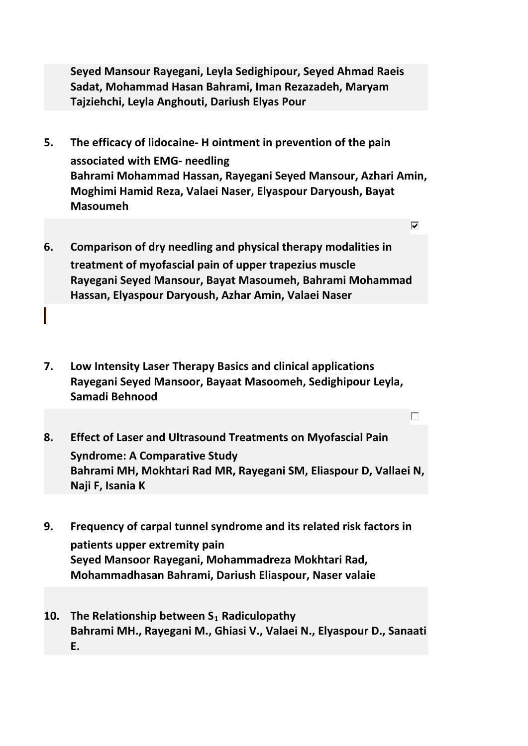**Seyed Mansour Rayegani, Leyla Sedighipour, Seyed Ahmad Raeis Sadat, Mohammad Hasan Bahrami, Iman Rezazadeh, Maryam Tajziehchi, Leyla Anghouti, Dariush Elyas Pour**

**5. The efficacy of lidocaine- H ointment in prevention of the pain associated with EMG- needling Bahrami Mohammad Hassan, Rayegani Seyed Mansour, Azhari Amin, Moghimi Hamid Reza, Valaei Naser, Elyaspour Daryoush, Bayat Masoumeh**

⊽

г

- **6. Comparison of dry needling and physical therapy modalities in treatment of myofascial pain of upper trapezius muscle Rayegani Seyed Mansour, Bayat Masoumeh, Bahrami Mohammad Hassan, Elyaspour Daryoush, Azhar Amin, Valaei Naser**
- **7. Low Intensity Laser Therapy Basics and clinical applications Rayegani Seyed Mansoor, Bayaat Masoomeh, Sedighipour Leyla, Samadi Behnood**
- **8. Effect of Laser and Ultrasound Treatments on Myofascial Pain Syndrome: A Comparative Study Bahrami MH, Mokhtari Rad MR, Rayegani SM, Eliaspour D, Vallaei N, Naji F, Isania K**
- **9. Frequency of carpal tunnel syndrome and its related risk factors in patients upper extremity pain Seyed Mansoor Rayegani, Mohammadreza Mokhtari Rad, Mohammadhasan Bahrami, Dariush Eliaspour, Naser valaie**
- **10. The Relationship between S***<sup>R</sup>* **<sup>1</sup>***<sup>R</sup>* **Radiculopathy Bahrami MH., Rayegani M., Ghiasi V., Valaei N., Elyaspour D., Sanaati E.**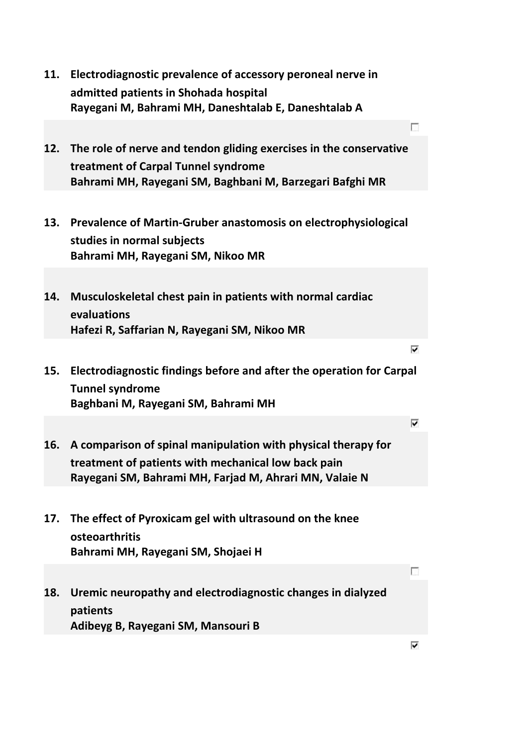**11. Electrodiagnostic prevalence of accessory peroneal nerve in admitted patients in Shohada hospital Rayegani M, Bahrami MH, Daneshtalab E, Daneshtalab A** г **12. The role of nerve and tendon gliding exercises in the conservative treatment of Carpal Tunnel syndrome Bahrami MH, Rayegani SM, Baghbani M, Barzegari Bafghi MR 13. Prevalence of Martin-Gruber anastomosis on electrophysiological studies in normal subjects Bahrami MH, Rayegani SM, Nikoo MR 14. Musculoskeletal chest pain in patients with normal cardiac evaluations Hafezi R, Saffarian N, Rayegani SM, Nikoo MR** ⊽ **15. Electrodiagnostic findings before and after the operation for Carpal Tunnel syndrome Baghbani M, Rayegani SM, Bahrami MH** ⊽ **16. A comparison of spinal manipulation with physical therapy for treatment of patients with mechanical low back pain Rayegani SM, Bahrami MH, Farjad M, Ahrari MN, Valaie N 17. The effect of Pyroxicam gel with ultrasound on the knee osteoarthritis Bahrami MH, Rayegani SM, Shojaei H** г **18. Uremic neuropathy and electrodiagnostic changes in dialyzed patients Adibeyg B, Rayegani SM, Mansouri B**